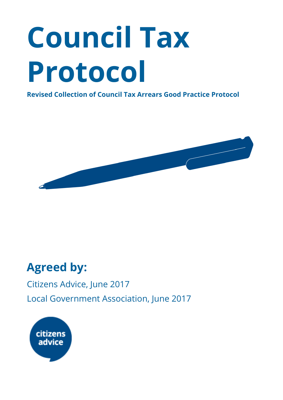# **Council Tax Protocol**

**Revised Collection of Council Tax Arrears Good Practice Protocol**



# **Agreed by:**

Citizens Advice, June 2017 Local Government Association, June 2017

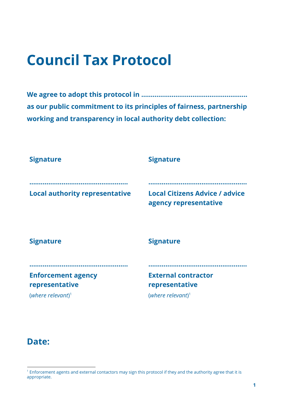# **Council Tax Protocol**

**We agree to adopt this protocol in ……………………………………………….. as our public commitment to its principles of fairness, partnership working and transparency in local authority debt collection:**

| <b>Signature</b>                            | <b>Signature</b>                                               |
|---------------------------------------------|----------------------------------------------------------------|
| <b>Local authority representative</b>       | <b>Local Citizens Advice / advice</b><br>agency representative |
| <b>Signature</b>                            | <b>Signature</b>                                               |
| <b>Enforcement agency</b><br>representative | <b>External contractor</b><br>representative                   |
| (where relevant) <sup>1</sup>               | (where relevant) <sup>1</sup>                                  |

#### **Date:**

<sup>&</sup>lt;sup>1</sup> Enforcement agents and external contactors may sign this protocol if they and the authority agree that it is appropriate.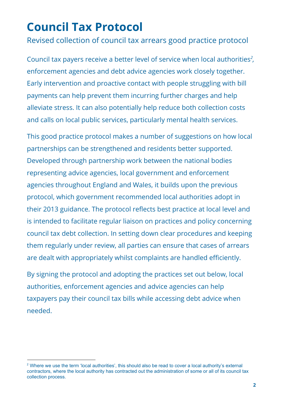# **Council Tax Protocol**

Revised collection of council tax arrears good practice protocol

Council tax payers receive a better level of service when local authorities<sup>2</sup>, enforcement agencies and debt advice agencies work closely together. Early intervention and proactive contact with people struggling with bill payments can help prevent them incurring further charges and help alleviate stress. It can also potentially help reduce both collection costs and calls on local public services, particularly mental health services.

This good practice protocol makes a number of suggestions on how local partnerships can be strengthened and residents better supported. Developed through partnership work between the national bodies representing advice agencies, local government and enforcement agencies throughout England and Wales, it builds upon the previous protocol, which government recommended local authorities adopt in their 2013 guidance. The protocol reflects best practice at local level and is intended to facilitate regular liaison on practices and policy concerning council tax debt collection. In setting down clear procedures and keeping them regularly under review, all parties can ensure that cases of arrears are dealt with appropriately whilst complaints are handled efficiently.

By signing the protocol and adopting the practices set out below, local authorities, enforcement agencies and advice agencies can help taxpayers pay their council tax bills while accessing debt advice when needed.

<sup>&</sup>lt;sup>2</sup> Where we use the term 'local authorities', this should also be read to cover a local authority's external contractors, where the local authority has contracted out the administration of some or all of its council tax collection process.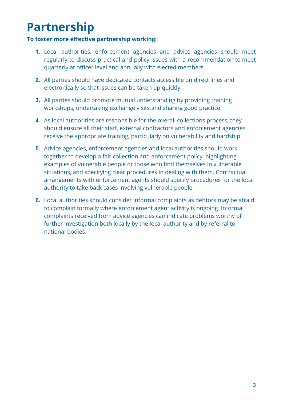# **Partnership**

#### **To foster more effective partnership working:**

- **1.** Local authorities, enforcement agencies and advice agencies should meet regularly to discuss practical and policy issues with a recommendation to meet quarterly at officer level and annually with elected members.
- **2.** All parties should have dedicated contacts accessible on direct lines and electronically so that issues can be taken up quickly.
- **3.** All parties should promote mutual understanding by providing training workshops, undertaking exchange visits and sharing good practice.
- **4.** As local authorities are responsible for the overall collections process, they should ensure all their staff, external contractors and enforcement agencies receive the appropriate training, particularly on vulnerability and hardship.
- **5.** Advice agencies, enforcement agencies and local authorities should work together to develop a fair collection and enforcement policy, highlighting examples of vulnerable people or those who find themselves in vulnerable situations, and specifying clear procedures in dealing with them. Contractual arrangements with enforcement agents should specify procedures for the local authority to take back cases involving vulnerable people.
- **6.** Local authorities should consider informal complaints as debtors may be afraid to complain formally where enforcement agent activity is ongoing. Informal complaints received from advice agencies can indicate problems worthy of further investigation both locally by the local authority and by referral to national bodies.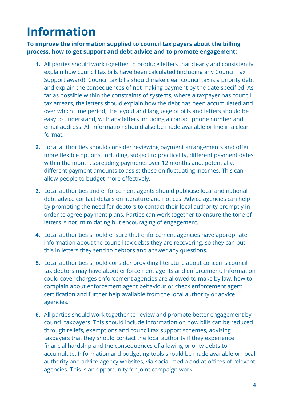# **Information**

**To improve the information supplied to council tax payers about the billing process, how to get support and debt advice and to promote engagement:**

- **1.** All parties should work together to produce letters that clearly and consistently explain how council tax bills have been calculated (including any Council Tax Support award). Council tax bills should make clear council tax is a priority debt and explain the consequences of not making payment by the date specified. As far as possible within the constraints of systems, where a taxpayer has council tax arrears, the letters should explain how the debt has been accumulated and over which time period, the layout and language of bills and letters should be easy to understand, with any letters including a contact phone number and email address. All information should also be made available online in a clear format.
- **2.** Local authorities should consider reviewing payment arrangements and offer more flexible options, including, subject to practicality, different payment dates within the month, spreading payments over 12 months and, potentially, different payment amounts to assist those on fluctuating incomes. This can allow people to budget more effectively.
- **3.** Local authorities and enforcement agents should publicise local and national debt advice contact details on literature and notices. Advice agencies can help by promoting the need for debtors to contact their local authority promptly in order to agree payment plans. Parties can work together to ensure the tone of letters is not intimidating but encouraging of engagement.
- **4.** Local authorities should ensure that enforcement agencies have appropriate information about the council tax debts they are recovering, so they can put this in letters they send to debtors and answer any questions.
- **5.** Local authorities should consider providing literature about concerns council tax debtors may have about enforcement agents and enforcement. Information could cover charges enforcement agencies are allowed to make by law, how to complain about enforcement agent behaviour or check enforcement agent certification and further help available from the local authority or advice agencies.
- **6.** All parties should work together to review and promote better engagement by council taxpayers. This should include information on how bills can be reduced through reliefs, exemptions and council tax support schemes, advising taxpayers that they should contact the local authority if they experience financial hardship and the consequences of allowing priority debts to accumulate. Information and budgeting tools should be made available on local authority and advice agency websites, via social media and at offices of relevant agencies. This is an opportunity for joint campaign work.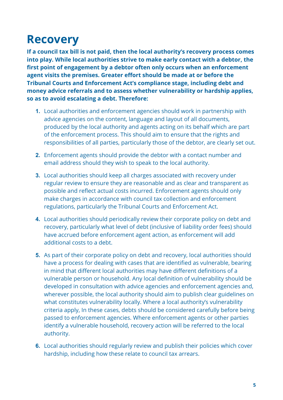### **Recovery**

**If a council tax bill is not paid, then the local authority's recovery process comes into play. While local authorities strive to make early contact with a debtor, the first point of engagement by a debtor often only occurs when an enforcement agent visits the premises. Greater effort should be made at or before the Tribunal Courts and Enforcement Act's compliance stage, including debt and money advice referrals and to assess whether vulnerability or hardship applies, so as to avoid escalating a debt. Therefore:**

- **1.** Local authorities and enforcement agencies should work in partnership with advice agencies on the content, language and layout of all documents, produced by the local authority and agents acting on its behalf which are part of the enforcement process. This should aim to ensure that the rights and responsibilities of all parties, particularly those of the debtor, are clearly set out.
- **2.** Enforcement agents should provide the debtor with a contact number and email address should they wish to speak to the local authority.
- **3.** Local authorities should keep all charges associated with recovery under regular review to ensure they are reasonable and as clear and transparent as possible and reflect actual costs incurred. Enforcement agents should only make charges in accordance with council tax collection and enforcement regulations, particularly the Tribunal Courts and Enforcement Act.
- **4.** Local authorities should periodically review their corporate policy on debt and recovery, particularly what level of debt (inclusive of liability order fees) should have accrued before enforcement agent action, as enforcement will add additional costs to a debt.
- **5.** As part of their corporate policy on debt and recovery, local authorities should have a process for dealing with cases that are identified as vulnerable, bearing in mind that different local authorities may have different definitions of a vulnerable person or household. Any local definition of vulnerability should be developed in consultation with advice agencies and enforcement agencies and, wherever possible, the local authority should aim to publish clear guidelines on what constitutes vulnerability locally. Where a local authority's vulnerability criteria apply, In these cases, debts should be considered carefully before being passed to enforcement agencies. Where enforcement agents or other parties identify a vulnerable household, recovery action will be referred to the local authority.
- **6.** Local authorities should regularly review and publish their policies which cover hardship, including how these relate to council tax arrears.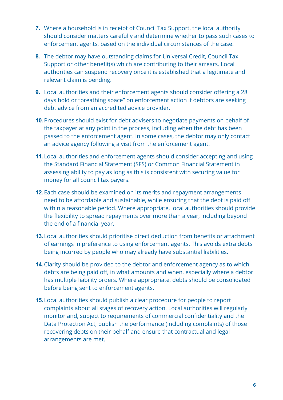- **7.** Where a household is in receipt of Council Tax Support, the local authority should consider matters carefully and determine whether to pass such cases to enforcement agents, based on the individual circumstances of the case.
- **8.** The debtor may have outstanding claims for Universal Credit, Council Tax Support or other benefit(s) which are contributing to their arrears. Local authorities can suspend recovery once it is established that a legitimate and relevant claim is pending.
- **9.** Local authorities and their enforcement agents should consider offering a 28 days hold or "breathing space" on enforcement action if debtors are seeking debt advice from an accredited advice provider.
- **10.**Procedures should exist for debt advisers to negotiate payments on behalf of the taxpayer at any point in the process, including when the debt has been passed to the enforcement agent. In some cases, the debtor may only contact an advice agency following a visit from the enforcement agent.
- **11.**Local authorities and enforcement agents should consider accepting and using the Standard Financial Statement (SFS) or Common Financial Statement in assessing ability to pay as long as this is consistent with securing value for money for all council tax payers.
- **12.**Each case should be examined on its merits and repayment arrangements need to be affordable and sustainable, while ensuring that the debt is paid off within a reasonable period. Where appropriate, local authorities should provide the flexibility to spread repayments over more than a year, including beyond the end of a financial year.
- **13.**Local authorities should prioritise direct deduction from benefits or attachment of earnings in preference to using enforcement agents. This avoids extra debts being incurred by people who may already have substantial liabilities.
- **14.**Clarity should be provided to the debtor and enforcement agency as to which debts are being paid off, in what amounts and when, especially where a debtor has multiple liability orders. Where appropriate, debts should be consolidated before being sent to enforcement agents.
- **15.**Local authorities should publish a clear procedure for people to report complaints about all stages of recovery action. Local authorities will regularly monitor and, subject to requirements of commercial confidentiality and the Data Protection Act, publish the performance (including complaints) of those recovering debts on their behalf and ensure that contractual and legal arrangements are met.